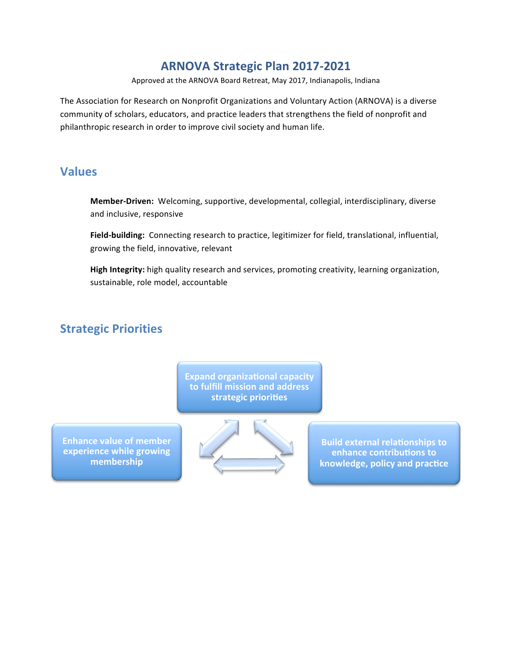## **ARNOVA Strategic Plan 2017-2021**

Approved at the ARNOVA Board Retreat, May 2017, Indianapolis, Indiana

The Association for Research on Nonprofit Organizations and Voluntary Action (ARNOVA) is a diverse community of scholars, educators, and practice leaders that strengthens the field of nonprofit and philanthropic research in order to improve civil society and human life.

## **Values**

**Member-Driven:** Welcoming, supportive, developmental, collegial, interdisciplinary, diverse and inclusive, responsive

Field-building: Connecting research to practice, legitimizer for field, translational, influential, growing the field, innovative, relevant

High Integrity: high quality research and services, promoting creativity, learning organization, sustainable, role model, accountable

## **Strategic Priorities**

**Expand organizational capacity** to fulfill mission and address strategic priorities

**Enhance value of member experience while growing membership** 



**Build external relationships to enhance contributions to** knowledge, policy and practice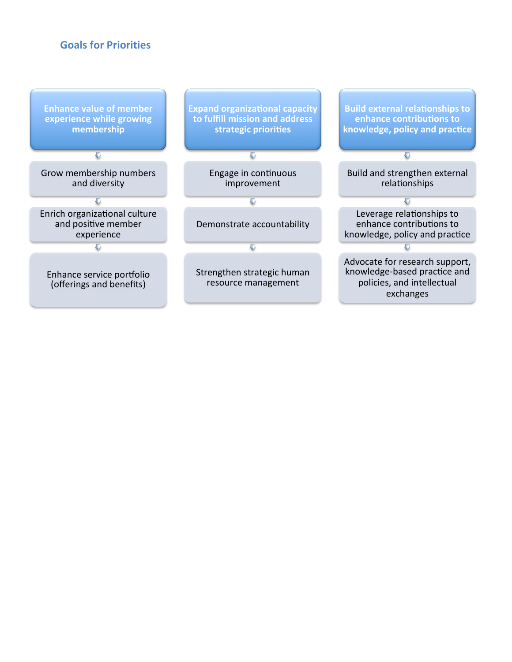#### **Goals for Priorities**

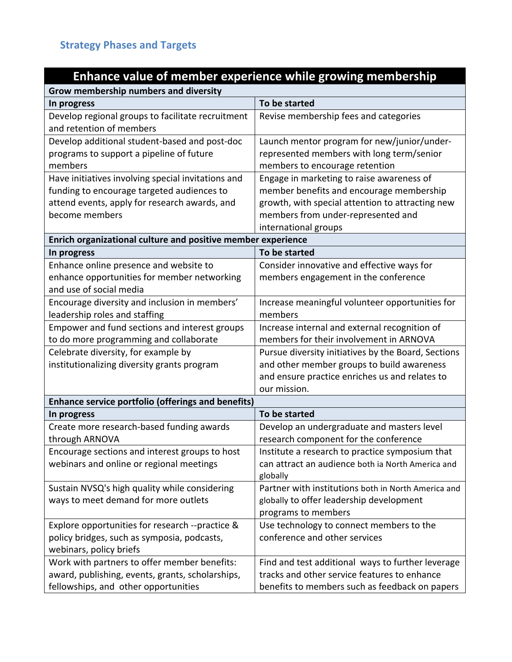# **Enhance value of member experience while growing membership**

| Grow membership numbers and diversity                                                                                                    |                                                                                                                                                                     |  |
|------------------------------------------------------------------------------------------------------------------------------------------|---------------------------------------------------------------------------------------------------------------------------------------------------------------------|--|
| In progress                                                                                                                              | To be started                                                                                                                                                       |  |
| Develop regional groups to facilitate recruitment<br>and retention of members                                                            | Revise membership fees and categories                                                                                                                               |  |
| Develop additional student-based and post-doc<br>programs to support a pipeline of future<br>members                                     | Launch mentor program for new/junior/under-<br>represented members with long term/senior<br>members to encourage retention                                          |  |
| Have initiatives involving special invitations and                                                                                       | Engage in marketing to raise awareness of                                                                                                                           |  |
| funding to encourage targeted audiences to<br>attend events, apply for research awards, and<br>become members                            | member benefits and encourage membership<br>growth, with special attention to attracting new<br>members from under-represented and<br>international groups          |  |
| Enrich organizational culture and positive member experience                                                                             |                                                                                                                                                                     |  |
| In progress                                                                                                                              | To be started                                                                                                                                                       |  |
| Enhance online presence and website to<br>enhance opportunities for member networking<br>and use of social media                         | Consider innovative and effective ways for<br>members engagement in the conference                                                                                  |  |
| Encourage diversity and inclusion in members'<br>leadership roles and staffing                                                           | Increase meaningful volunteer opportunities for<br>members                                                                                                          |  |
| Empower and fund sections and interest groups<br>to do more programming and collaborate                                                  | Increase internal and external recognition of<br>members for their involvement in ARNOVA                                                                            |  |
| Celebrate diversity, for example by<br>institutionalizing diversity grants program                                                       | Pursue diversity initiatives by the Board, Sections<br>and other member groups to build awareness<br>and ensure practice enriches us and relates to<br>our mission. |  |
| <b>Enhance service portfolio (offerings and benefits)</b>                                                                                |                                                                                                                                                                     |  |
| In progress                                                                                                                              | To be started                                                                                                                                                       |  |
| Create more research-based funding awards<br>through ARNOVA                                                                              | Develop an undergraduate and masters level<br>research component for the conference                                                                                 |  |
| Encourage sections and interest groups to host<br>webinars and online or regional meetings                                               | Institute a research to practice symposium that<br>can attract an audience both ia North America and<br>globally                                                    |  |
| Sustain NVSQ's high quality while considering<br>ways to meet demand for more outlets                                                    | Partner with institutions both in North America and<br>globally to offer leadership development<br>programs to members                                              |  |
| Explore opportunities for research --practice &<br>policy bridges, such as symposia, podcasts,<br>webinars, policy briefs                | Use technology to connect members to the<br>conference and other services                                                                                           |  |
| Work with partners to offer member benefits:<br>award, publishing, events, grants, scholarships,<br>fellowships, and other opportunities | Find and test additional ways to further leverage<br>tracks and other service features to enhance<br>benefits to members such as feedback on papers                 |  |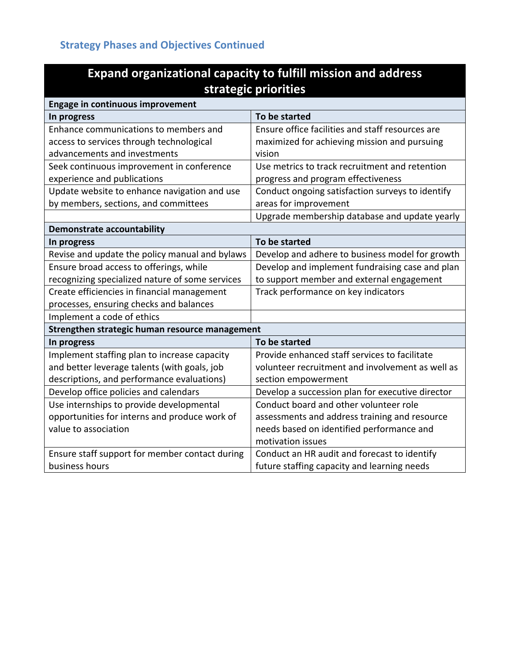# **Strategy Phases and Objectives Continued**

| <b>Expand organizational capacity to fulfill mission and address</b><br>strategic priorities |                                                  |  |
|----------------------------------------------------------------------------------------------|--------------------------------------------------|--|
| <b>Engage in continuous improvement</b>                                                      |                                                  |  |
| In progress                                                                                  | To be started                                    |  |
| Enhance communications to members and                                                        | Ensure office facilities and staff resources are |  |
| access to services through technological                                                     | maximized for achieving mission and pursuing     |  |
| advancements and investments                                                                 | vision                                           |  |
| Seek continuous improvement in conference                                                    | Use metrics to track recruitment and retention   |  |
| experience and publications                                                                  | progress and program effectiveness               |  |
| Update website to enhance navigation and use                                                 | Conduct ongoing satisfaction surveys to identify |  |
| by members, sections, and committees                                                         | areas for improvement                            |  |
|                                                                                              | Upgrade membership database and update yearly    |  |
| <b>Demonstrate accountability</b>                                                            |                                                  |  |
| In progress                                                                                  | To be started                                    |  |
| Revise and update the policy manual and bylaws                                               | Develop and adhere to business model for growth  |  |
| Ensure broad access to offerings, while                                                      | Develop and implement fundraising case and plan  |  |
| recognizing specialized nature of some services                                              | to support member and external engagement        |  |
| Create efficiencies in financial management                                                  | Track performance on key indicators              |  |
| processes, ensuring checks and balances                                                      |                                                  |  |
| Implement a code of ethics                                                                   |                                                  |  |
| Strengthen strategic human resource management                                               |                                                  |  |
| In progress                                                                                  | To be started                                    |  |
| Implement staffing plan to increase capacity                                                 | Provide enhanced staff services to facilitate    |  |
| and better leverage talents (with goals, job                                                 | volunteer recruitment and involvement as well as |  |
| descriptions, and performance evaluations)                                                   | section empowerment                              |  |
| Develop office policies and calendars                                                        | Develop a succession plan for executive director |  |
| Use internships to provide developmental                                                     | Conduct board and other volunteer role           |  |
| opportunities for interns and produce work of                                                | assessments and address training and resource    |  |
| value to association                                                                         | needs based on identified performance and        |  |
|                                                                                              | motivation issues                                |  |
| Ensure staff support for member contact during                                               | Conduct an HR audit and forecast to identify     |  |
| business hours                                                                               | future staffing capacity and learning needs      |  |